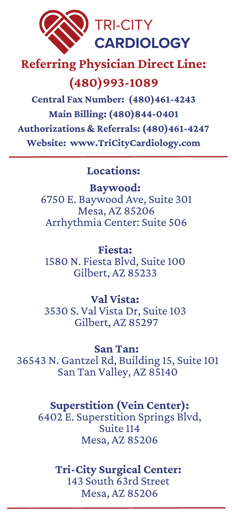

# **Referring Physician Direct Line:**

# **(480)993-1089**

**Central Fax Number: (480)461-4243 Main Billing: (480)844-0401 Authorizations & Referrals: (480)461-4247 Website: www.TriCityCardiology.com**

#### **Locations:**

**Baywood:** 6750 E. Baywood Ave, Suite 301 Mesa, AZ 85206 Arrhythmia Center: Suite 506

**Fiesta:** 1580 N. Fiesta Blvd, Suite 100 Gilbert, AZ 85233

**Val Vista:** 3530 S. Val Vista Dr, Suite 103 Gilbert, AZ 85297

**San Tan:** 36543 N. Gantzel Rd, Building 15, Suite 101 San Tan Valley, AZ 85140

### **Superstition (Vein Center):**

6402 E. Superstition Springs Blvd, Suite 114 Mesa, AZ 85206

**Tri-City Surgical Center:** 143 South 63rd Street Mesa, AZ 85206